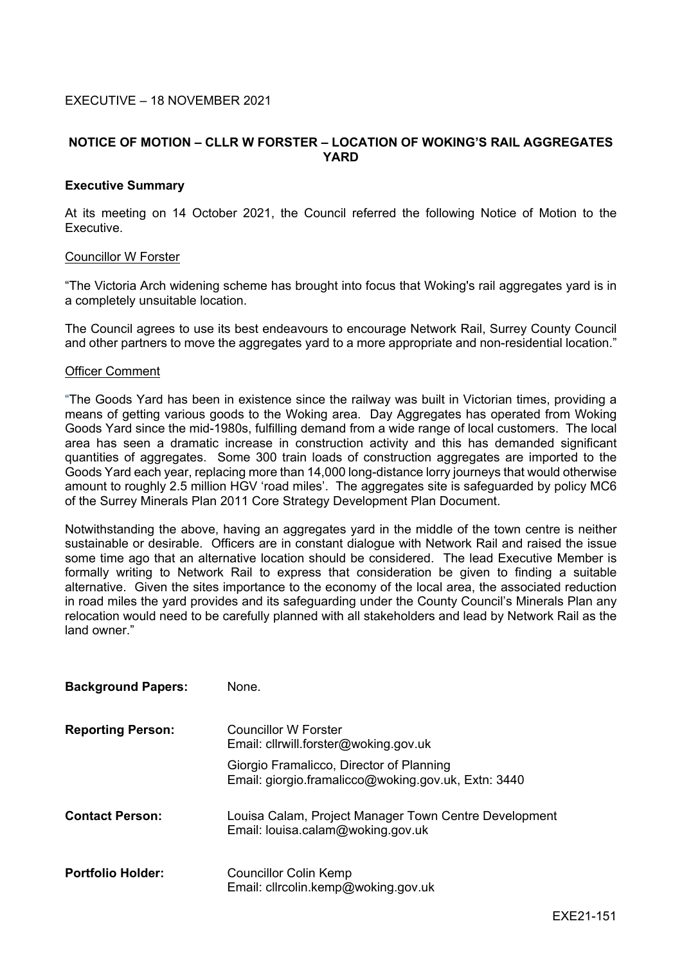## EXECUTIVE – 18 NOVEMBER 2021

# **NOTICE OF MOTION – CLLR W FORSTER – LOCATION OF WOKING'S RAIL AGGREGATES YARD**

### **Executive Summary**

At its meeting on 14 October 2021, the Council referred the following Notice of Motion to the Executive.

### Councillor W Forster

"The Victoria Arch widening scheme has brought into focus that Woking's rail aggregates yard is in a completely unsuitable location.

The Council agrees to use its best endeavours to encourage Network Rail, Surrey County Council and other partners to move the aggregates yard to a more appropriate and non-residential location."

#### Officer Comment

"The Goods Yard has been in existence since the railway was built in Victorian times, providing a means of getting various goods to the Woking area. Day Aggregates has operated from Woking Goods Yard since the mid-1980s, fulfilling demand from a wide range of local customers. The local area has seen a dramatic increase in construction activity and this has demanded significant quantities of aggregates. Some 300 train loads of construction aggregates are imported to the Goods Yard each year, replacing more than 14,000 long-distance lorry journeys that would otherwise amount to roughly 2.5 million HGV 'road miles'. The aggregates site is safeguarded by policy MC6 of the Surrey Minerals Plan 2011 Core Strategy Development Plan Document.

Notwithstanding the above, having an aggregates yard in the middle of the town centre is neither sustainable or desirable. Officers are in constant dialogue with Network Rail and raised the issue some time ago that an alternative location should be considered. The lead Executive Member is formally writing to Network Rail to express that consideration be given to finding a suitable alternative. Given the sites importance to the economy of the local area, the associated reduction in road miles the yard provides and its safeguarding under the County Council's Minerals Plan any relocation would need to be carefully planned with all stakeholders and lead by Network Rail as the land owner."

| <b>Background Papers:</b> | None.                                                                                           |
|---------------------------|-------------------------------------------------------------------------------------------------|
| <b>Reporting Person:</b>  | Councillor W Forster<br>Email: cllrwill.forster@woking.gov.uk                                   |
|                           | Giorgio Framalicco, Director of Planning<br>Email: giorgio.framalicco@woking.gov.uk, Extn: 3440 |
| <b>Contact Person:</b>    | Louisa Calam, Project Manager Town Centre Development<br>Email: louisa.calam@woking.gov.uk      |
| <b>Portfolio Holder:</b>  | <b>Councillor Colin Kemp</b><br>Email: cllrcolin.kemp@woking.gov.uk                             |